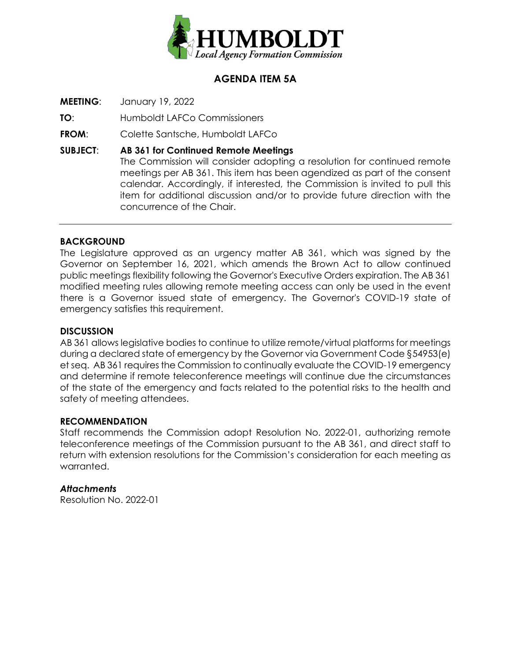

# **AGENDA ITEM 5A**

**MEETING**: January 19, 2022

**TO**: Humboldt LAFCo Commissioners

**FROM**: Colette Santsche, Humboldt LAFCo

**SUBJECT**: **AB 361 for Continued Remote Meetings** The Commission will consider adopting a resolution for continued remote meetings per AB 361. This item has been agendized as part of the consent calendar. Accordingly, if interested, the Commission is invited to pull this item for additional discussion and/or to provide future direction with the concurrence of the Chair.

### **BACKGROUND**

The Legislature approved as an urgency matter AB 361, which was signed by the Governor on September 16, 2021, which amends the Brown Act to allow continued public meetings flexibility following the Governor's Executive Orders expiration. The AB 361 modified meeting rules allowing remote meeting access can only be used in the event there is a Governor issued state of emergency. The Governor's COVID-19 state of emergency satisfies this requirement.

#### **DISCUSSION**

AB 361 allows legislative bodies to continue to utilize remote/virtual platforms for meetings during a declared state of emergency by the Governor via Government Code §54953(e) et seq. AB 361 requires the Commission to continually evaluate the COVID-19 emergency and determine if remote teleconference meetings will continue due the circumstances of the state of the emergency and facts related to the potential risks to the health and safety of meeting attendees.

#### **RECOMMENDATION**

Staff recommends the Commission adopt Resolution No. 2022-01, authorizing remote teleconference meetings of the Commission pursuant to the AB 361, and direct staff to return with extension resolutions for the Commission's consideration for each meeting as warranted.

#### *Attachments*

Resolution No. 2022-01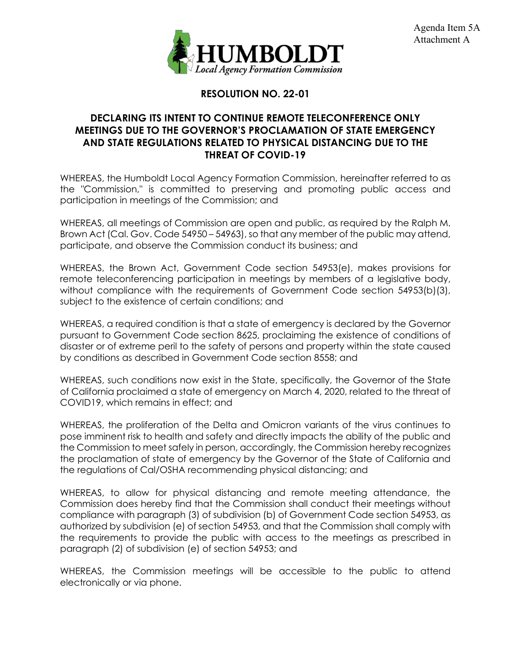

# **RESOLUTION NO. 22-01**

### **DECLARING ITS INTENT TO CONTINUE REMOTE TELECONFERENCE ONLY MEETINGS DUE TO THE GOVERNOR'S PROCLAMATION OF STATE EMERGENCY AND STATE REGULATIONS RELATED TO PHYSICAL DISTANCING DUE TO THE THREAT OF COVID-19**

WHEREAS, the Humboldt Local Agency Formation Commission, hereinafter referred to as the "Commission," is committed to preserving and promoting public access and participation in meetings of the Commission; and

WHEREAS, all meetings of Commission are open and public, as required by the Ralph M. Brown Act (Cal. Gov. Code 54950 – 54963), so that any member of the public may attend, participate, and observe the Commission conduct its business; and

WHEREAS, the Brown Act, Government Code section 54953(e), makes provisions for remote teleconferencing participation in meetings by members of a legislative body, without compliance with the requirements of Government Code section 54953(b)(3), subject to the existence of certain conditions; and

WHEREAS, a required condition is that a state of emergency is declared by the Governor pursuant to Government Code section 8625, proclaiming the existence of conditions of disaster or of extreme peril to the safety of persons and property within the state caused by conditions as described in Government Code section 8558; and

WHEREAS, such conditions now exist in the State, specifically, the Governor of the State of California proclaimed a state of emergency on March 4, 2020, related to the threat of COVID19, which remains in effect; and

WHEREAS, the proliferation of the Delta and Omicron variants of the virus continues to pose imminent risk to health and safety and directly impacts the ability of the public and the Commission to meet safely in person, accordingly, the Commission hereby recognizes the proclamation of state of emergency by the Governor of the State of California and the regulations of Cal/OSHA recommending physical distancing; and

WHEREAS, to allow for physical distancing and remote meeting attendance, the Commission does hereby find that the Commission shall conduct their meetings without compliance with paragraph (3) of subdivision (b) of Government Code section 54953, as authorized by subdivision (e) of section 54953, and that the Commission shall comply with the requirements to provide the public with access to the meetings as prescribed in paragraph (2) of subdivision (e) of section 54953; and

WHEREAS, the Commission meetings will be accessible to the public to attend electronically or via phone.